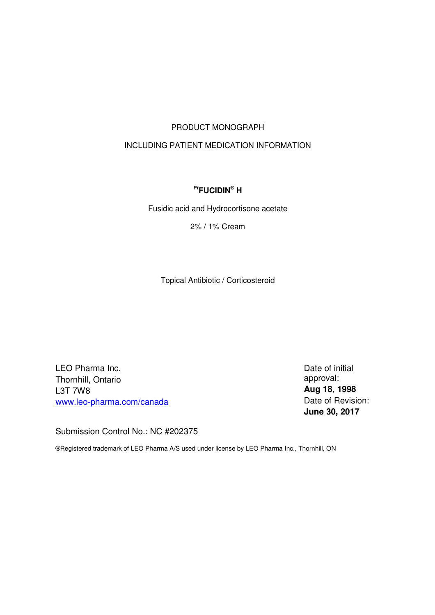# PRODUCT MONOGRAPH

# INCLUDING PATIENT MEDICATION INFORMATION

# **PrFUCIDIN® H**

Fusidic acid and Hydrocortisone acetate

2% / 1% Cream

Topical Antibiotic / Corticosteroid

LEO Pharma Inc. Thornhill, Ontario L3T 7W8 [www.leo-pharma.com/canada](http:��www.leo-pharma.com/canada) Date of initial approval: **Aug 18, 1998** Date of Revision: **June 30, 2017** 

Submission Control No.: NC #202375

®Registered trademark of LEO Pharma A/S used under license by LEO Pharma Inc., Thornhill, ON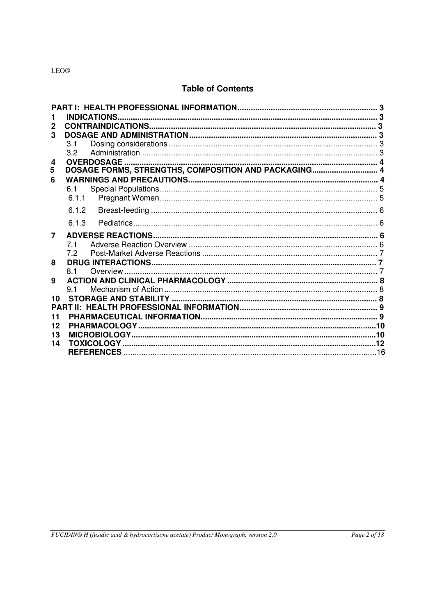# **Table of Contents**

| $\mathbf 2$ |                                                      |  |
|-------------|------------------------------------------------------|--|
| 3           |                                                      |  |
|             | 3.1                                                  |  |
|             | 3.2                                                  |  |
| 4           | <b>OVERDOSAGE</b>                                    |  |
| 5           | DOSAGE FORMS, STRENGTHS, COMPOSITION AND PACKAGING 4 |  |
| 6           |                                                      |  |
|             | 61                                                   |  |
|             | 6.1.1                                                |  |
|             | 6.1.2                                                |  |
|             | 6.1.3                                                |  |
|             |                                                      |  |
| 7           |                                                      |  |
|             | 7.1                                                  |  |
|             | 72                                                   |  |
| 8           |                                                      |  |
|             | 8.1                                                  |  |
| 9           |                                                      |  |
|             | 91                                                   |  |
| 10          |                                                      |  |
|             |                                                      |  |
| 11          |                                                      |  |
| 12          |                                                      |  |
| 13          |                                                      |  |
| 14          |                                                      |  |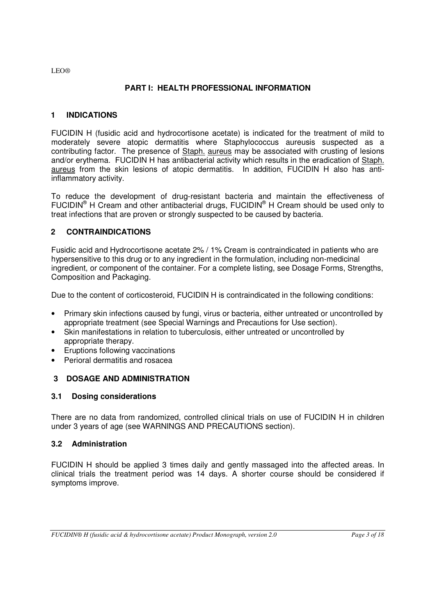# **PART I: HEALTH PROFESSIONAL INFORMATION**

# <span id="page-2-0"></span>**1 INDICATIONS**

FUCIDIN H (fusidic acid and hydrocortisone acetate) is indicated for the treatment of mild to moderately severe atopic dermatitis where Staphylococcus aureusis suspected as a contributing factor. The presence of Staph. aureus may be associated with crusting of lesions and/or erythema. FUCIDIN H has antibacterial activity which results in the eradication of Staph. aureus from the skin lesions of atopic dermatitis. In addition, FUCIDIN H also has antiinflammatory activity.

To reduce the development of drug-resistant bacteria and maintain the effectiveness of FUCIDIN<sup>®</sup> H Cream and other antibacterial drugs, FUCIDIN<sup>®</sup> H Cream should be used only to treat infections that are proven or strongly suspected to be caused by bacteria.

# **2 CONTRAINDICATIONS**

Fusidic acid and Hydrocortisone acetate 2% / 1% Cream is contraindicated in patients who are hypersensitive to this drug or to any ingredient in the formulation, including non-medicinal ingredient, or component of the container. For a complete listing, see Dosage Forms, Strengths, Composition and Packaging.

Due to the content of corticosteroid, FUCIDIN H is contraindicated in the following conditions:

- Primary skin infections caused by fungi, virus or bacteria, either untreated or uncontrolled by appropriate treatment (see Special Warnings and Precautions for Use section).
- Skin manifestations in relation to tuberculosis, either untreated or uncontrolled by appropriate therapy.
- Eruptions following vaccinations
- Perioral dermatitis and rosacea

# **3 DOSAGE AND ADMINISTRATION**

# **3.1 Dosing considerations**

There are no data from randomized, controlled clinical trials on use of FUCIDIN H in children under 3 years of age (see WARNINGS AND PRECAUTIONS section).

# **3.2 Administration**

FUCIDIN H should be applied 3 times daily and gently massaged into the affected areas. In clinical trials the treatment period was 14 days. A shorter course should be considered if symptoms improve.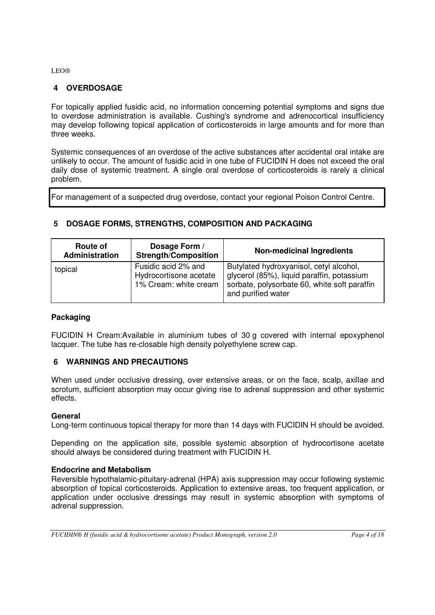# <span id="page-3-0"></span>**4 OVERDOSAGE**

For topically applied fusidic acid, no information concerning potential symptoms and signs due to overdose administration is available. Cushing's syndrome and adrenocortical insufficiency may develop following topical application of corticosteroids in large amounts and for more than three weeks.

Systemic consequences of an overdose of the active substances after accidental oral intake are unlikely to occur. The amount of fusidic acid in one tube of FUCIDIN H does not exceed the oral daily dose of systemic treatment. A single oral overdose of corticosteroids is rarely a clinical problem.

For management of a suspected drug overdose, contact your regional Poison Control Centre.

| Route of<br>Administration | Dosage Form /<br><b>Strength/Composition</b>                           | <b>Non-medicinal Ingredients</b>                                                                                                                            |
|----------------------------|------------------------------------------------------------------------|-------------------------------------------------------------------------------------------------------------------------------------------------------------|
| topical                    | Fusidic acid 2% and<br>Hydrocortisone acetate<br>1% Cream: white cream | Butylated hydroxyanisol, cetyl alcohol,<br>glycerol (85%), liquid paraffin, potassium<br>sorbate, polysorbate 60, white soft paraffin<br>and purified water |

# **5 DOSAGE FORMS, STRENGTHS, COMPOSITION AND PACKAGING**

# **Packaging**

FUCIDIN H Cream:Available in aluminium tubes of 30 g covered with internal epoxyphenol lacquer. The tube has re-closable high density polyethylene screw cap.

# **6 WARNINGS AND PRECAUTIONS**

When used under occlusive dressing, over extensive areas, or on the face, scalp, axillae and scrotum, sufficient absorption may occur giving rise to adrenal suppression and other systemic effects.

# **General**

Long-term continuous topical therapy for more than 14 days with FUCIDIN H should be avoided.

Depending on the application site, possible systemic absorption of hydrocortisone acetate should always be considered during treatment with FUCIDIN H.

#### **Endocrine and Metabolism**

Reversible hypothalamic-pituitary-adrenal (HPA) axis suppression may occur following systemic absorption of topical corticosteroids. Application to extensive areas, too frequent application, or application under occlusive dressings may result in systemic absorption with symptoms of adrenal suppression.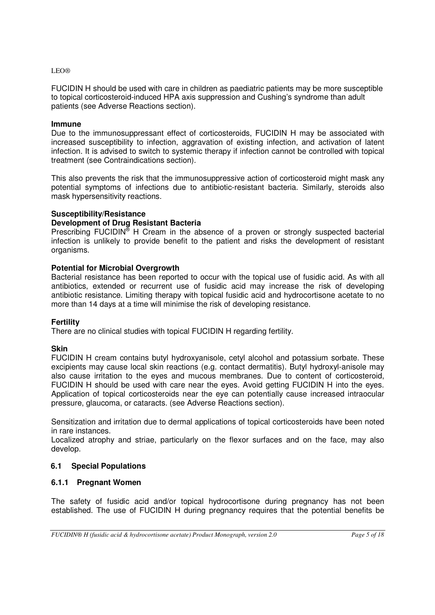<span id="page-4-0"></span>FUCIDIN H should be used with care in children as paediatric patients may be more susceptible to topical corticosteroid-induced HPA axis suppression and Cushing's syndrome than adult patients (see Adverse Reactions section).

#### **Immune**

Due to the immunosuppressant effect of corticosteroids, FUCIDIN H may be associated with increased susceptibility to infection, aggravation of existing infection, and activation of latent infection. It is advised to switch to systemic therapy if infection cannot be controlled with topical treatment (see Contraindications section).

This also prevents the risk that the immunosuppressive action of corticosteroid might mask any potential symptoms of infections due to antibiotic-resistant bacteria. Similarly, steroids also mask hypersensitivity reactions.

#### **Susceptibility/Resistance**

# **Development of Drug Resistant Bacteria**

Prescribing FUCIDIN<sup>®</sup> H Cream in the absence of a proven or strongly suspected bacterial infection is unlikely to provide benefit to the patient and risks the development of resistant organisms.

#### **Potential for Microbial Overgrowth**

Bacterial resistance has been reported to occur with the topical use of fusidic acid. As with all antibiotics, extended or recurrent use of fusidic acid may increase the risk of developing antibiotic resistance. Limiting therapy with topical fusidic acid and hydrocortisone acetate to no more than 14 days at a time will minimise the risk of developing resistance.

#### **Fertility**

There are no clinical studies with topical FUCIDIN H regarding fertility.

#### **Skin**

FUCIDIN H cream contains butyl hydroxyanisole, cetyl alcohol and potassium sorbate. These excipients may cause local skin reactions (e.g. contact dermatitis). Butyl hydroxyl-anisole may also cause irritation to the eyes and mucous membranes. Due to content of corticosteroid, FUCIDIN H should be used with care near the eyes. Avoid getting FUCIDIN H into the eyes. Application of topical corticosteroids near the eye can potentially cause increased intraocular pressure, glaucoma, or cataracts. (see Adverse Reactions section).

Sensitization and irritation due to dermal applications of topical corticosteroids have been noted in rare instances.

Localized atrophy and striae, particularly on the flexor surfaces and on the face, may also develop.

# **6.1 Special Populations**

# **6.1.1 Pregnant Women**

The safety of fusidic acid and/or topical hydrocortisone during pregnancy has not been established. The use of FUCIDIN H during pregnancy requires that the potential benefits be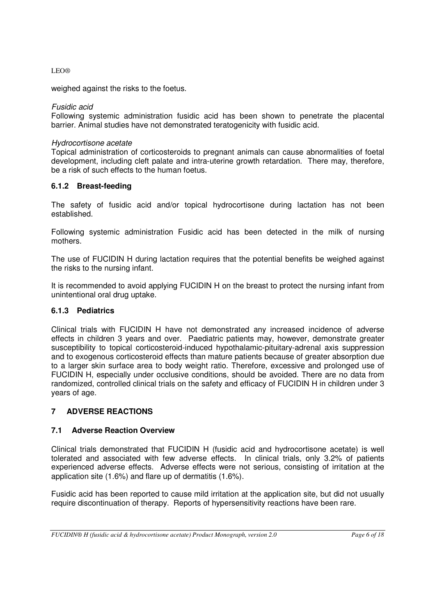<span id="page-5-0"></span>weighed against the risks to the foetus.

### Fusidic acid

Following systemic administration fusidic acid has been shown to penetrate the placental barrier. Animal studies have not demonstrated teratogenicity with fusidic acid.

#### Hydrocortisone acetate

Topical administration of corticosteroids to pregnant animals can cause abnormalities of foetal development, including cleft palate and intra-uterine growth retardation. There may, therefore, be a risk of such effects to the human foetus.

#### **6.1.2 Breast-feeding**

The safety of fusidic acid and/or topical hydrocortisone during lactation has not been established.

Following systemic administration Fusidic acid has been detected in the milk of nursing mothers.

The use of FUCIDIN H during lactation requires that the potential benefits be weighed against the risks to the nursing infant.

It is recommended to avoid applying FUCIDIN H on the breast to protect the nursing infant from unintentional oral drug uptake.

# **6.1.3 Pediatrics**

Clinical trials with FUCIDIN H have not demonstrated any increased incidence of adverse effects in children 3 years and over. Paediatric patients may, however, demonstrate greater susceptibility to topical corticosteroid-induced hypothalamic-pituitary-adrenal axis suppression and to exogenous corticosteroid effects than mature patients because of greater absorption due to a larger skin surface area to body weight ratio. Therefore, excessive and prolonged use of FUCIDIN H, especially under occlusive conditions, should be avoided. There are no data from randomized, controlled clinical trials on the safety and efficacy of FUCIDIN H in children under 3 years of age.

# **7 ADVERSE REACTIONS**

# **7.1 Adverse Reaction Overview**

Clinical trials demonstrated that FUCIDIN H (fusidic acid and hydrocortisone acetate) is well tolerated and associated with few adverse effects. In clinical trials, only 3.2% of patients experienced adverse effects. Adverse effects were not serious, consisting of irritation at the application site (1.6%) and flare up of dermatitis (1.6%).

Fusidic acid has been reported to cause mild irritation at the application site, but did not usually require discontinuation of therapy. Reports of hypersensitivity reactions have been rare.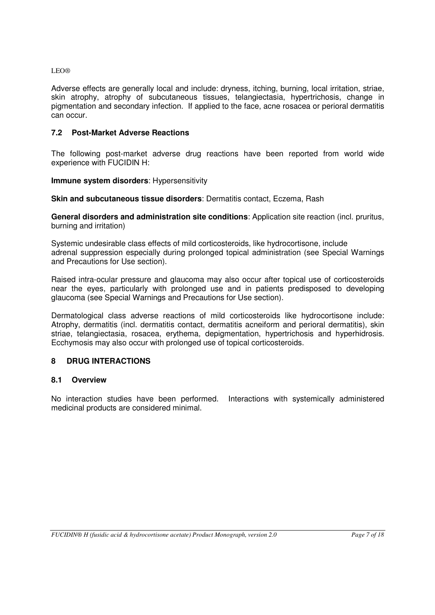<span id="page-6-0"></span>Adverse effects are generally local and include: dryness, itching, burning, local irritation, striae, skin atrophy, atrophy of subcutaneous tissues, telangiectasia, hypertrichosis, change in pigmentation and secondary infection. If applied to the face, acne rosacea or perioral dermatitis can occur.

#### **7.2 Post-Market Adverse Reactions**

The following post-market adverse drug reactions have been reported from world wide experience with FUCIDIN H:

#### **Immune system disorders**: Hypersensitivity

**Skin and subcutaneous tissue disorders: Dermatitis contact, Eczema, Rash** 

**General disorders and administration site conditions**: Application site reaction (incl. pruritus, burning and irritation)

Systemic undesirable class effects of mild corticosteroids, like hydrocortisone, include adrenal suppression especially during prolonged topical administration (see Special Warnings and Precautions for Use section).

Raised intra-ocular pressure and glaucoma may also occur after topical use of corticosteroids near the eyes, particularly with prolonged use and in patients predisposed to developing glaucoma (see Special Warnings and Precautions for Use section).

Dermatological class adverse reactions of mild corticosteroids like hydrocortisone include: Atrophy, dermatitis (incl. dermatitis contact, dermatitis acneiform and perioral dermatitis), skin striae, telangiectasia, rosacea, erythema, depigmentation, hypertrichosis and hyperhidrosis. Ecchymosis may also occur with prolonged use of topical corticosteroids.

# **8 DRUG INTERACTIONS**

#### **8.1 Overview**

No interaction studies have been performed. Interactions with systemically administered medicinal products are considered minimal.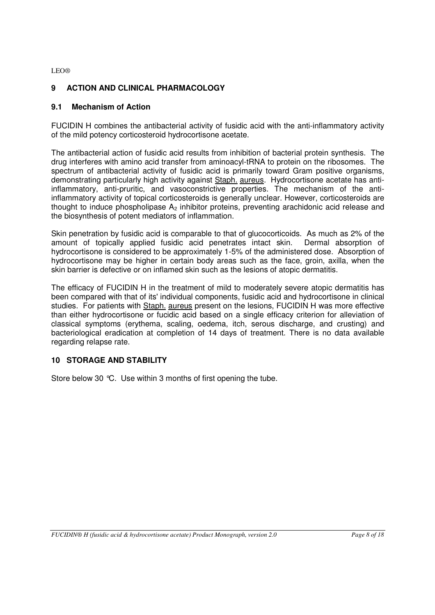# <span id="page-7-0"></span>**9 ACTION AND CLINICAL PHARMACOLOGY**

# **9.1 Mechanism of Action**

FUCIDIN H combines the antibacterial activity of fusidic acid with the anti-inflammatory activity of the mild potency corticosteroid hydrocortisone acetate.

The antibacterial action of fusidic acid results from inhibition of bacterial protein synthesis. The drug interferes with amino acid transfer from aminoacyl-tRNA to protein on the ribosomes. The spectrum of antibacterial activity of fusidic acid is primarily toward Gram positive organisms, demonstrating particularly high activity against Staph. aureus. Hydrocortisone acetate has antiinflammatory, anti-pruritic, and vasoconstrictive properties. The mechanism of the antiinflammatory activity of topical corticosteroids is generally unclear. However, corticosteroids are thought to induce phospholipase  $A_2$  inhibitor proteins, preventing arachidonic acid release and the biosynthesis of potent mediators of inflammation.

Skin penetration by fusidic acid is comparable to that of glucocorticoids. As much as 2% of the amount of topically applied fusidic acid penetrates intact skin. Dermal absorption of hydrocortisone is considered to be approximately 1-5% of the administered dose. Absorption of hydrocortisone may be higher in certain body areas such as the face, groin, axilla, when the skin barrier is defective or on inflamed skin such as the lesions of atopic dermatitis.

The efficacy of FUCIDIN H in the treatment of mild to moderately severe atopic dermatitis has been compared with that of its' individual components, fusidic acid and hydrocortisone in clinical studies. For patients with Staph. aureus present on the lesions, FUCIDIN H was more effective than either hydrocortisone or fucidic acid based on a single efficacy criterion for alleviation of classical symptoms (erythema, scaling, oedema, itch, serous discharge, and crusting) and bacteriological eradication at completion of 14 days of treatment. There is no data available regarding relapse rate.

# **10 STORAGE AND STABILITY**

Store below 30 °C. Use within 3 months of first opening the tube.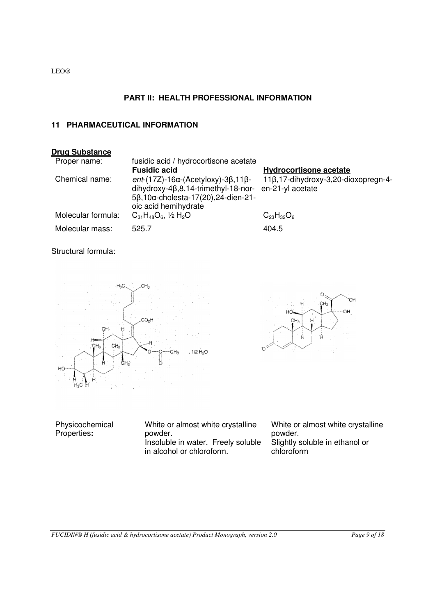# **PART II: HEALTH PROFESSIONAL INFORMATION**

# <span id="page-8-0"></span>**11 PHARMACEUTICAL INFORMATION**



Structural formula:





Physicochemical Properties**:**  White or almost white crystalline powder. Insoluble in water. Freely soluble in alcohol or chloroform. White or almost white crystalline powder. Slightly soluble in ethanol or chloroform

*FUCIDIN® H (fusidic acid & hydrocortisone acetate) Product Monograph, version 2.0 Page 9 of 18*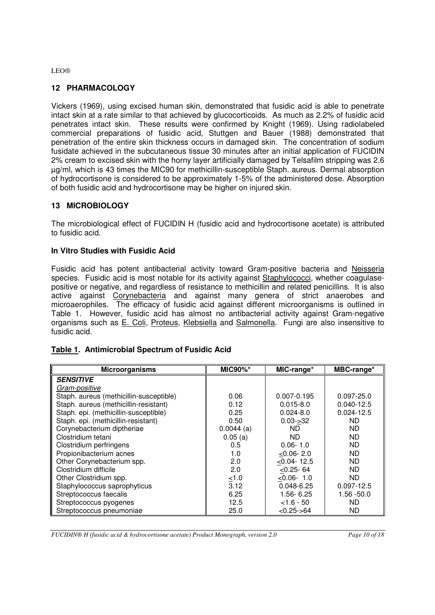# <span id="page-9-0"></span>**12 PHARMACOLOGY**

Vickers (1969), using excised human skin, demonstrated that fusidic acid is able to penetrate intact skin at a rate similar to that achieved by glucocorticoids. As much as 2.2% of fusidic acid penetrates intact skin. These results were confirmed by Knight (1969). Using radiolabeled commercial preparations of fusidic acid, Stuttgen and Bauer (1988) demonstrated that penetration of the entire skin thickness occurs in damaged skin. The concentration of sodium fusidate achieved in the subcutaneous tissue 30 minutes after an initial application of FUCIDIN 2% cream to excised skin with the horny layer artificially damaged by Telsafilm stripping was 2.6 µg/ml, which is 43 times the MIC90 for methicillin-susceptible Staph. aureus. Dermal absorption of hydrocortisone is considered to be approximately 1-5% of the administered dose. Absorption of both fusidic acid and hydrocortisone may be higher on injured skin.

# **13 MICROBIOLOGY**

The microbiological effect of FUCIDIN H (fusidic acid and hydrocortisone acetate) is attributed to fusidic acid.

#### **In Vitro Studies with Fusidic Acid**

Fusidic acid has potent antibacterial activity toward Gram-positive bacteria and Neisseria species. Fusidic acid is most notable for its activity against Staphylococci, whether coagulasepositive or negative, and regardless of resistance to methicillin and related penicillins. It is also active against Corynebacteria and against many genera of strict anaerobes and microaerophiles. The efficacy of fusidic acid against different microorganisms is outlined in Table 1. However, fusidic acid has almost no antibacterial activity against Gram-negative organisms such as E. Coli, Proteus, Klebsiella and Salmonella. Fungi are also insensitive to fusidic acid.

# **Table 1. Antimicrobial Spectrum of Fusidic Acid**

| <b>Microorganisms</b>                   | <b>MIC90%*</b> | MIC-range*      | MBC-range*     |
|-----------------------------------------|----------------|-----------------|----------------|
| <b>SENSITIVE</b>                        |                |                 |                |
| Gram-positive                           |                |                 |                |
| Staph. aureus (methicillin-susceptible) | 0.06           | $0.007 - 0.195$ | $0.097 - 25.0$ |
| Staph. aureus (methicillin-resistant)   | 0.12           | $0.015 - 8.0$   | $0.040 - 12.5$ |
| Staph. epi. (methicillin-susceptible)   | 0.25           | $0.024 - 8.0$   | $0.024 - 12.5$ |
| Staph. epi. (methicillin-resistant)     | 0.50           | $0.03 - 32$     | ND.            |
| Corynebacterium diptheriae              | $0.0044$ (a)   | ND.             | ND             |
| Clostridium tetani                      | 0.05(a)        | ND.             | <b>ND</b>      |
| Clostridium perfringens                 | $0.5^{\circ}$  | $0.06 - 1.0$    | ND             |
| Propionibacterium acnes                 | 1.0            | $< 0.06 - 2.0$  | ND             |
| Other Corynebacterium spp.              | 2.0            | $< 0.04 - 12.5$ | ND             |
| Clostridium difficile                   | 2.0            | $< 0.25 - 64$   | ND             |
| Other Clostridium spp.                  | $\leq 1.0$     | $< 0.06 - 1.0$  | ND             |
| Staphylococcus saprophyticus            | 3.12           | $0.048 - 6.25$  | $0.097 - 12.5$ |
| Streptococcus faecalis                  | 6.25           | $1.56 - 6.25$   | $1.56 - 50.0$  |
| Streptococcus pyogenes                  | 12.5           | $< 1.6 - 50$    | ND             |
| Streptococcus pneumoniae                | 25.0           | $< 0.25 - 64$   | <b>ND</b>      |

*FUCIDIN® H (fusidic acid & hydrocortisone acetate) Product Monograph, version 2.0 Page 10 of 18*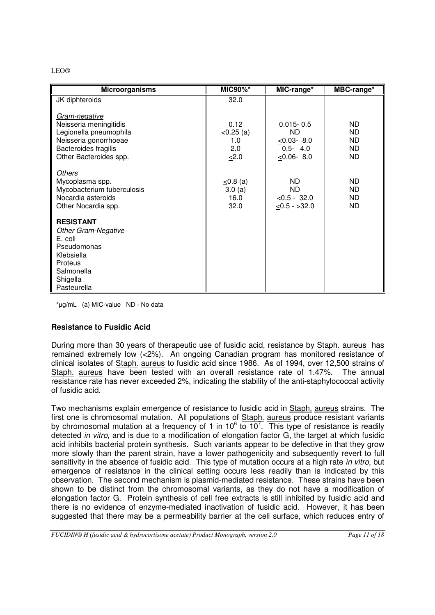| <b>Microorganisms</b>                                                                                                                        | <b>MIC90%*</b>                               | MIC-range*                                                             | MBC-range*                                             |
|----------------------------------------------------------------------------------------------------------------------------------------------|----------------------------------------------|------------------------------------------------------------------------|--------------------------------------------------------|
| JK diphteroids                                                                                                                               | 32.0                                         |                                                                        |                                                        |
| Gram-negative<br>Neisseria meningitidis<br>Legionella pneumophila<br>Neisseria gonorrhoeae<br>Bacteroides fragilis<br>Other Bacteroides spp. | 0.12<br>$\leq$ 0.25 (a)<br>1.0<br>2.0<br>2.0 | $0.015 - 0.5$<br>ND<br>$< 0.03 - 8.0$<br>$0.5 - 4.0$<br>$< 0.06 - 8.0$ | ND<br><b>ND</b><br><b>ND</b><br><b>ND</b><br><b>ND</b> |
| <b>Others</b><br>Mycoplasma spp.<br>Mycobacterium tuberculosis<br>Nocardia asteroids<br>Other Nocardia spp.                                  | $\leq$ 0.8 (a)<br>3.0(a)<br>16.0<br>32.0     | ND.<br>ND.<br>$< 0.5 - 32.0$<br>$< 0.5 - 32.0$                         | ND<br>ND<br>ND<br><b>ND</b>                            |
| <b>RESISTANT</b><br><b>Other Gram-Negative</b><br>E. coli<br>Pseudomonas<br>Klebsiella<br>Proteus<br>Salmonella<br>Shigella<br>Pasteurella   |                                              |                                                                        |                                                        |

\*μg/mL (a) MIC-value ND - No data

# **Resistance to Fusidic Acid**

During more than 30 years of therapeutic use of fusidic acid, resistance by Staph. aureus has remained extremely low (<2%). An ongoing Canadian program has monitored resistance of clinical isolates of Staph. aureus to fusidic acid since 1986. As of 1994, over 12,500 strains of Staph. aureus have been tested with an overall resistance rate of 1.47%. The annual resistance rate has never exceeded 2%, indicating the stability of the anti-staphylococcal activity of fusidic acid.

Two mechanisms explain emergence of resistance to fusidic acid in Staph. aureus strains. The first one is chromosomal mutation. All populations of Staph. aureus produce resistant variants by chromosomal mutation at a frequency of 1 in 10 $^6$  to 10<sup>7</sup>. This type of resistance is readily detected in vitro, and is due to a modification of elongation factor G, the target at which fusidic acid inhibits bacterial protein synthesis. Such variants appear to be defective in that they grow more slowly than the parent strain, have a lower pathogenicity and subsequently revert to full sensitivity in the absence of fusidic acid. This type of mutation occurs at a high rate in vitro, but emergence of resistance in the clinical setting occurs less readily than is indicated by this observation. The second mechanism is plasmid-mediated resistance. These strains have been shown to be distinct from the chromosomal variants, as they do not have a modification of elongation factor G. Protein synthesis of cell free extracts is still inhibited by fusidic acid and there is no evidence of enzyme-mediated inactivation of fusidic acid. However, it has been suggested that there may be a permeability barrier at the cell surface, which reduces entry of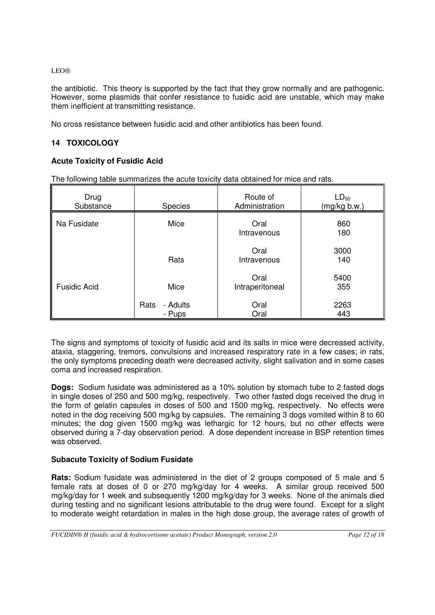<span id="page-11-0"></span>the antibiotic. This theory is supported by the fact that they grow normally and are pathogenic. However, some plasmids that confer resistance to fusidic acid are unstable, which may make them inefficient at transmitting resistance.

No cross resistance between fusidic acid and other antibiotics has been found.

# **14 TOXICOLOGY**

# **Acute Toxicity of Fusidic Acid**

The following table summarizes the acute toxicity data obtained for mice and rats.

| Drug<br>Substance   | <b>Species</b>             | Route of<br>Administration | $LD_{50}$<br>(mg/kg b.w.) |
|---------------------|----------------------------|----------------------------|---------------------------|
| Na Fusidate         | Mice                       | Oral<br>Intravenous        | 860<br>180                |
|                     | Rats                       | Oral<br>Intravenous        | 3000<br>140               |
| <b>Fusidic Acid</b> | Mice                       | Oral<br>Intraperitoneal    | 5400<br>355               |
|                     | - Adults<br>Rats<br>- Pups | Oral<br>Oral               | 2263<br>443               |

The signs and symptoms of toxicity of fusidic acid and its salts in mice were decreased activity, ataxia, staggering, tremors, convulsions and increased respiratory rate in a few cases; in rats, the only symptoms preceding death were decreased activity, slight salivation and in some cases coma and increased respiration.

**Dogs:** Sodium fusidate was administered as a 10% solution by stomach tube to 2 fasted dogs in single doses of 250 and 500 mg/kg, respectively. Two other fasted dogs received the drug in the form of gelatin capsules in doses of 500 and 1500 mg/kg, respectively. No effects were noted in the dog receiving 500 mg/kg by capsules. The remaining 3 dogs vomited within 8 to 60 minutes; the dog given 1500 mg/kg was lethargic for 12 hours, but no other effects were observed during a 7-day observation period. A dose dependent increase in BSP retention times was observed.

# **Subacute Toxicity of Sodium Fusidate**

**Rats:** Sodium fusidate was administered in the diet of 2 groups composed of 5 male and 5 female rats at doses of 0 or 270 mg/kg/day for 4 weeks. A similar group received 500 mg/kg/day for 1 week and subsequently 1200 mg/kg/day for 3 weeks. None of the animals died during testing and no significant lesions attributable to the drug were found. Except for a slight to moderate weight retardation in males in the high dose group, the average rates of growth of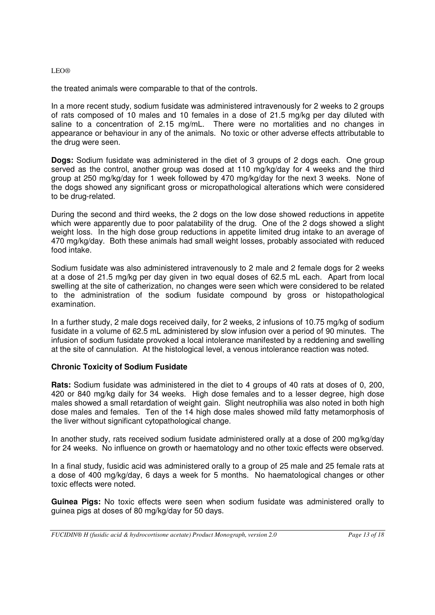the treated animals were comparable to that of the controls.

In a more recent study, sodium fusidate was administered intravenously for 2 weeks to 2 groups of rats composed of 10 males and 10 females in a dose of 21.5 mg/kg per day diluted with saline to a concentration of 2.15 mg/mL. There were no mortalities and no changes in appearance or behaviour in any of the animals. No toxic or other adverse effects attributable to the drug were seen.

**Dogs:** Sodium fusidate was administered in the diet of 3 groups of 2 dogs each. One group served as the control, another group was dosed at 110 mg/kg/day for 4 weeks and the third group at 250 mg/kg/day for 1 week followed by 470 mg/kg/day for the next 3 weeks. None of the dogs showed any significant gross or micropathological alterations which were considered to be drug-related.

During the second and third weeks, the 2 dogs on the low dose showed reductions in appetite which were apparently due to poor palatability of the drug. One of the 2 dogs showed a slight weight loss. In the high dose group reductions in appetite limited drug intake to an average of 470 mg/kg/day. Both these animals had small weight losses, probably associated with reduced food intake.

Sodium fusidate was also administered intravenously to 2 male and 2 female dogs for 2 weeks at a dose of 21.5 mg/kg per day given in two equal doses of 62.5 mL each. Apart from local swelling at the site of catherization, no changes were seen which were considered to be related to the administration of the sodium fusidate compound by gross or histopathological examination.

In a further study, 2 male dogs received daily, for 2 weeks, 2 infusions of 10.75 mg/kg of sodium fusidate in a volume of 62.5 mL administered by slow infusion over a period of 90 minutes. The infusion of sodium fusidate provoked a local intolerance manifested by a reddening and swelling at the site of cannulation. At the histological level, a venous intolerance reaction was noted.

# **Chronic Toxicity of Sodium Fusidate**

**Rats:** Sodium fusidate was administered in the diet to 4 groups of 40 rats at doses of 0, 200, 420 or 840 mg/kg daily for 34 weeks. High dose females and to a lesser degree, high dose males showed a small retardation of weight gain. Slight neutrophilia was also noted in both high dose males and females. Ten of the 14 high dose males showed mild fatty metamorphosis of the liver without significant cytopathological change.

In another study, rats received sodium fusidate administered orally at a dose of 200 mg/kg/day for 24 weeks. No influence on growth or haematology and no other toxic effects were observed.

In a final study, fusidic acid was administered orally to a group of 25 male and 25 female rats at a dose of 400 mg/kg/day, 6 days a week for 5 months. No haematological changes or other toxic effects were noted.

**Guinea Pigs:** No toxic effects were seen when sodium fusidate was administered orally to guinea pigs at doses of 80 mg/kg/day for 50 days.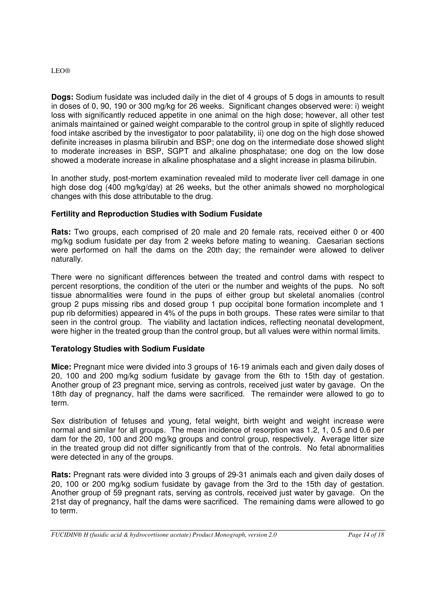**Dogs:** Sodium fusidate was included daily in the diet of 4 groups of 5 dogs in amounts to result in doses of 0, 90, 190 or 300 mg/kg for 26 weeks. Significant changes observed were: i) weight loss with significantly reduced appetite in one animal on the high dose; however, all other test animals maintained or gained weight comparable to the control group in spite of slightly reduced food intake ascribed by the investigator to poor palatability, ii) one dog on the high dose showed definite increases in plasma bilirubin and BSP; one dog on the intermediate dose showed slight to moderate increases in BSP, SGPT and alkaline phosphatase; one dog on the low dose showed a moderate increase in alkaline phosphatase and a slight increase in plasma bilirubin.

In another study, post-mortem examination revealed mild to moderate liver cell damage in one high dose dog (400 mg/kg/day) at 26 weeks, but the other animals showed no morphological changes with this dose attributable to the drug.

# **Fertility and Reproduction Studies with Sodium Fusidate**

**Rats:** Two groups, each comprised of 20 male and 20 female rats, received either 0 or 400 mg/kg sodium fusidate per day from 2 weeks before mating to weaning. Caesarian sections were performed on half the dams on the 20th day; the remainder were allowed to deliver naturally.

There were no significant differences between the treated and control dams with respect to percent resorptions, the condition of the uteri or the number and weights of the pups. No soft tissue abnormalities were found in the pups of either group but skeletal anomalies (control group 2 pups missing ribs and dosed group 1 pup occipital bone formation incomplete and 1 pup rib deformities) appeared in 4% of the pups in both groups. These rates were similar to that seen in the control group. The viability and lactation indices, reflecting neonatal development, were higher in the treated group than the control group, but all values were within normal limits.

# **Teratology Studies with Sodium Fusidate**

**Mice:** Pregnant mice were divided into 3 groups of 16-19 animals each and given daily doses of 20, 100 and 200 mg/kg sodium fusidate by gavage from the 6th to 15th day of gestation. Another group of 23 pregnant mice, serving as controls, received just water by gavage. On the 18th day of pregnancy, half the dams were sacrificed. The remainder were allowed to go to term.

Sex distribution of fetuses and young, fetal weight, birth weight and weight increase were normal and similar for all groups. The mean incidence of resorption was 1.2, 1, 0.5 and 0.6 per dam for the 20, 100 and 200 mg/kg groups and control group, respectively. Average litter size in the treated group did not differ significantly from that of the controls. No fetal abnormalities were detected in any of the groups.

**Rats:** Pregnant rats were divided into 3 groups of 29-31 animals each and given daily doses of 20, 100 or 200 mg/kg sodium fusidate by gavage from the 3rd to the 15th day of gestation. Another group of 59 pregnant rats, serving as controls, received just water by gavage. On the 21st day of pregnancy, half the dams were sacrificed. The remaining dams were allowed to go to term.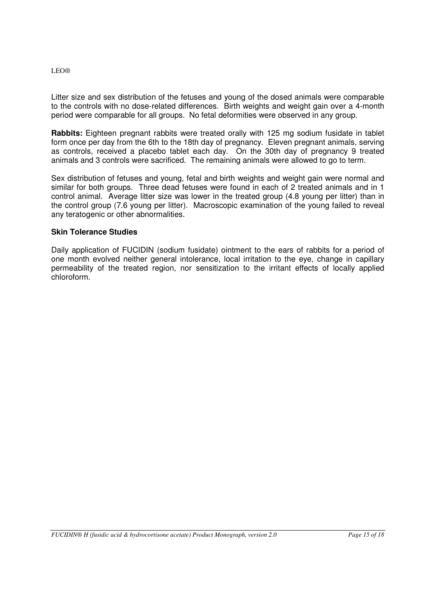Litter size and sex distribution of the fetuses and young of the dosed animals were comparable to the controls with no dose-related differences. Birth weights and weight gain over a 4-month period were comparable for all groups. No fetal deformities were observed in any group.

**Rabbits:** Eighteen pregnant rabbits were treated orally with 125 mg sodium fusidate in tablet form once per day from the 6th to the 18th day of pregnancy. Eleven pregnant animals, serving as controls, received a placebo tablet each day. On the 30th day of pregnancy 9 treated animals and 3 controls were sacrificed. The remaining animals were allowed to go to term.

Sex distribution of fetuses and young, fetal and birth weights and weight gain were normal and similar for both groups. Three dead fetuses were found in each of 2 treated animals and in 1 control animal. Average litter size was lower in the treated group (4.8 young per litter) than in the control group (7.6 young per litter). Macroscopic examination of the young failed to reveal any teratogenic or other abnormalities.

#### **Skin Tolerance Studies**

Daily application of FUCIDIN (sodium fusidate) ointment to the ears of rabbits for a period of one month evolved neither general intolerance, local irritation to the eye, change in capillary permeability of the treated region, nor sensitization to the irritant effects of locally applied chloroform.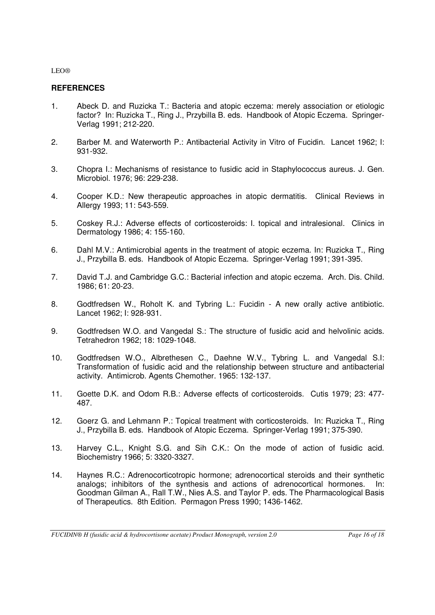# <span id="page-15-0"></span>**REFERENCES**

- 1. Abeck D. and Ruzicka T.: Bacteria and atopic eczema: merely association or etiologic factor? In: Ruzicka T., Ring J., Przybilla B. eds. Handbook of Atopic Eczema. Springer-Verlag 1991; 212-220.
- 2. Barber M. and Waterworth P.: Antibacterial Activity in Vitro of Fucidin. Lancet 1962; I: 931-932.
- 3. Chopra I.: Mechanisms of resistance to fusidic acid in Staphylococcus aureus. J. Gen. Microbiol. 1976; 96: 229-238.
- 4. Cooper K.D.: New therapeutic approaches in atopic dermatitis. Clinical Reviews in Allergy 1993; 11: 543-559.
- 5. Coskey R.J.: Adverse effects of corticosteroids: I. topical and intralesional. Clinics in Dermatology 1986; 4: 155-160.
- 6. Dahl M.V.: Antimicrobial agents in the treatment of atopic eczema. In: Ruzicka T., Ring J., Przybilla B. eds. Handbook of Atopic Eczema. Springer-Verlag 1991; 391-395.
- 7. David T.J. and Cambridge G.C.: Bacterial infection and atopic eczema. Arch. Dis. Child. 1986; 61: 20-23.
- 8. Godtfredsen W., Roholt K. and Tybring L.: Fucidin A new orally active antibiotic. Lancet 1962; I: 928-931.
- 9. Godtfredsen W.O. and Vangedal S.: The structure of fusidic acid and helvolinic acids. Tetrahedron 1962; 18: 1029-1048.
- 10. Godtfredsen W.O., Albrethesen C., Daehne W.V., Tybring L. and Vangedal S.I: Transformation of fusidic acid and the relationship between structure and antibacterial activity. Antimicrob. Agents Chemother. 1965: 132-137.
- 11. Goette D.K. and Odom R.B.: Adverse effects of corticosteroids. Cutis 1979; 23: 477- 487.
- 12. Goerz G. and Lehmann P.: Topical treatment with corticosteroids. In: Ruzicka T., Ring J., Przybilla B. eds. Handbook of Atopic Eczema. Springer-Verlag 1991; 375-390.
- 13. Harvey C.L., Knight S.G. and Sih C.K.: On the mode of action of fusidic acid. Biochemistry 1966; 5: 3320-3327.
- 14. Haynes R.C.: Adrenocorticotropic hormone; adrenocortical steroids and their synthetic analogs; inhibitors of the synthesis and actions of adrenocortical hormones. In: Goodman Gilman A., Rall T.W., Nies A.S. and Taylor P. eds. The Pharmacological Basis of Therapeutics. 8th Edition. Permagon Press 1990; 1436-1462.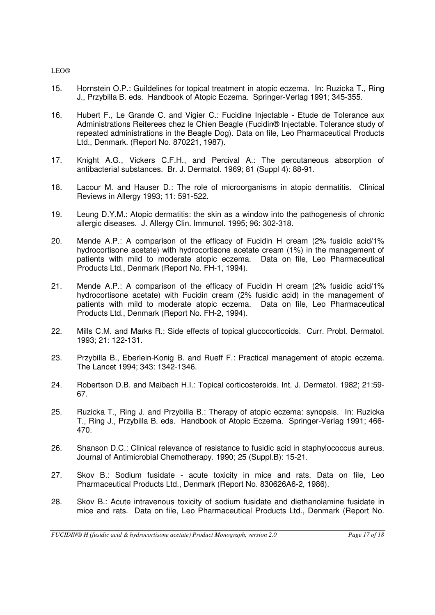- 15. Hornstein O.P.: Guildelines for topical treatment in atopic eczema. In: Ruzicka T., Ring J., Przybilla B. eds. Handbook of Atopic Eczema. Springer-Verlag 1991; 345-355.
- 16. Hubert F., Le Grande C. and Vigier C.: Fucidine Injectable Etude de Tolerance aux Administrations Reiterees chez le Chien Beagle (Fucidin® Injectable. Tolerance study of repeated administrations in the Beagle Dog). Data on file, Leo Pharmaceutical Products Ltd., Denmark. (Report No. 870221, 1987).
- 17. Knight A.G., Vickers C.F.H., and Percival A.: The percutaneous absorption of antibacterial substances. Br. J. Dermatol. 1969; 81 (Suppl 4): 88-91.
- 18. Lacour M. and Hauser D.: The role of microorganisms in atopic dermatitis. Clinical Reviews in Allergy 1993; 11: 591-522.
- 19. Leung D.Y.M.: Atopic dermatitis: the skin as a window into the pathogenesis of chronic allergic diseases. J. Allergy Clin. Immunol. 1995; 96: 302-318.
- 20. Mende A.P.: A comparison of the efficacy of Fucidin H cream (2% fusidic acid/1% hydrocortisone acetate) with hydrocortisone acetate cream (1%) in the management of patients with mild to moderate atopic eczema. Data on file, Leo Pharmaceutical Products Ltd., Denmark (Report No. FH-1, 1994).
- 21. Mende A.P.: A comparison of the efficacy of Fucidin H cream (2% fusidic acid/1% hydrocortisone acetate) with Fucidin cream (2% fusidic acid) in the management of patients with mild to moderate atopic eczema. Data on file, Leo Pharmaceutical Products Ltd., Denmark (Report No. FH-2, 1994).
- 22. Mills C.M. and Marks R.: Side effects of topical glucocorticoids. Curr. Probl. Dermatol. 1993; 21: 122-131.
- 23. Przybilla B., Eberlein-Konig B. and Rueff F.: Practical management of atopic eczema. The Lancet 1994; 343: 1342-1346.
- 24. Robertson D.B. and Maibach H.I.: Topical corticosteroids. Int. J. Dermatol. 1982; 21:59- 67.
- 25. Ruzicka T., Ring J. and Przybilla B.: Therapy of atopic eczema: synopsis. In: Ruzicka T., Ring J., Przybilla B. eds. Handbook of Atopic Eczema. Springer-Verlag 1991; 466- 470.
- 26. Shanson D.C.: Clinical relevance of resistance to fusidic acid in staphylococcus aureus. Journal of Antimicrobial Chemotherapy. 1990; 25 (Suppl.B): 15-21.
- 27. Skov B.: Sodium fusidate acute toxicity in mice and rats. Data on file, Leo Pharmaceutical Products Ltd., Denmark (Report No. 830626A6-2, 1986).
- 28. Skov B.: Acute intravenous toxicity of sodium fusidate and diethanolamine fusidate in mice and rats. Data on file, Leo Pharmaceutical Products Ltd., Denmark (Report No.